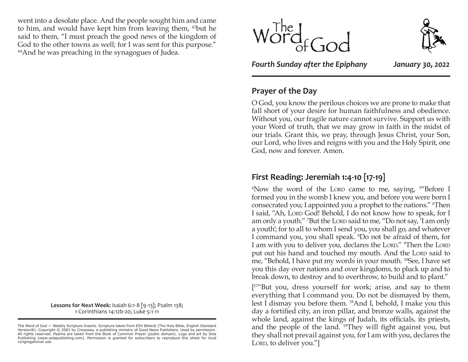went into a desolate place. And the people sought him and came to him, and would have kept him from leaving them, 43but he said to them, "I must preach the good news of the kingdom of God to the other towns as well; for I was sent for this purpose." 44And he was preaching in the synagogues of Judea.

> **Lessons for Next Week:** Isaiah 6:1-8 [9-13]; Psalm 138; 1 Corinthians 14:12b-20; Luke 5:1-11





*Fourth Sunday after the Epiphany January 30, 2022*

## **Prayer of the Day**

O God, you know the perilous choices we are prone to make that fall short of your desire for human faithfulness and obedience. Without you, our fragile nature cannot survive. Support us with your Word of truth, that we may grow in faith in the midst of our trials. Grant this, we pray, through Jesus Christ, your Son, our Lord, who lives and reigns with you and the Holy Spirit, one God, now and forever. Amen.

### **First Reading: Jeremiah 1:4-10 [17-19]**

 $4$ Now the word of the LORD came to me, saying,  $5$ <sup>4</sup>Before I formed you in the womb I knew you, and before you were born I consecrated you; I appointed you a prophet to the nations." <sup>6</sup>Then I said, "Ah, Lord God! Behold, I do not know how to speak, for I am only a youth." <sup>7</sup>But the Lorp said to me, "Do not say, 'I am only a youth'; for to all to whom I send you, you shall go, and whatever I command you, you shall speak. <sup>8</sup>Do not be afraid of them, for I am with you to deliver you, declares the Lord." <sup>9</sup>Then the Lord put out his hand and touched my mouth. And the Lord said to me, "Behold, I have put my words in your mouth. 10See, I have set you this day over nations and over kingdoms, to pluck up and to break down, to destroy and to overthrow, to build and to plant."

[<sup>17</sup>"But you, dress yourself for work; arise, and say to them everything that I command you. Do not be dismayed by them, lest I dismay you before them. 18And I, behold, I make you this day a fortified city, an iron pillar, and bronze walls, against the whole land, against the kings of Judah, its officials, its priests, and the people of the land. 19They will fight against you, but they shall not prevail against you, for I am with you, declares the LORD, to deliver you."]

The Word of God — Weekly Scripture Inserts. Scripture taken from ESV Bible® (The Holy Bible, English Standard Version®). Copyright © 2001 by Crossway, a publishing ministry of Good News Publishers. Used by permission. All rights reserved. Psalms are taken from the Book of Common Prayer (public domain). Logo and art by Sola Publishing (www.solapublishing.com). Permission is granted for subscribers to reproduce this sheet for local congregational use.